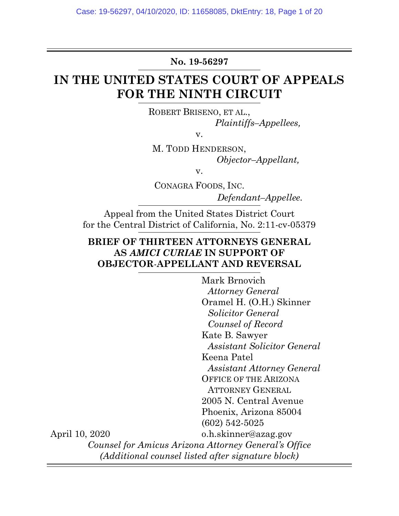No. 19-56297

# IN THE UNITED STATES COURT OF APPEALS FOR THE NINTH CIRCUIT

ROBERT BRISENO, ET AL., Plaintiffs–Appellees,

v.

M. TODD HENDERSON, Objector–Appellant,

v.

CONAGRA FOODS, INC.

Defendant–Appellee.

Appeal from the United States District Court for the Central District of California, No. 2:11-cv-05379

## BRIEF OF THIRTEEN ATTORNEYS GENERAL AS AMICI CURIAE IN SUPPORT OF OBJECTOR-APPELLANT AND REVERSAL

Mark Brnovich Attorney General Oramel H. (O.H.) Skinner Solicitor General Counsel of Record Kate B. Sawyer Assistant Solicitor General Keena Patel Assistant Attorney General OFFICE OF THE ARIZONA ATTORNEY GENERAL 2005 N. Central Avenue Phoenix, Arizona 85004 (602) 542-5025 o.h.skinner@azag.gov Counsel for Amicus Arizona Attorney General's Office (Additional counsel listed after signature block)

April 10, 2020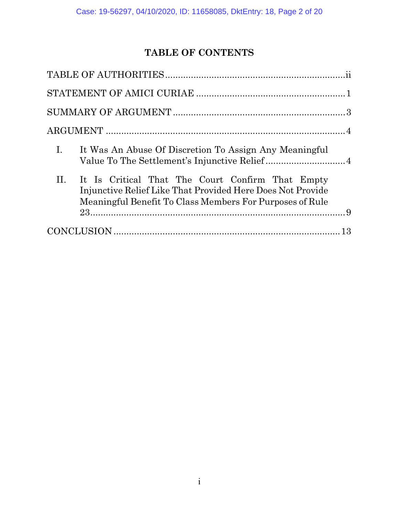## TABLE OF CONTENTS

| $\mathbf{I}$ .<br>It Was An Abuse Of Discretion To Assign Any Meaningful                                                                                                              |
|---------------------------------------------------------------------------------------------------------------------------------------------------------------------------------------|
| $\Pi$ .<br>It Is Critical That The Court Confirm That Empty<br>Injunctive Relief Like That Provided Here Does Not Provide<br>Meaningful Benefit To Class Members For Purposes of Rule |
|                                                                                                                                                                                       |
|                                                                                                                                                                                       |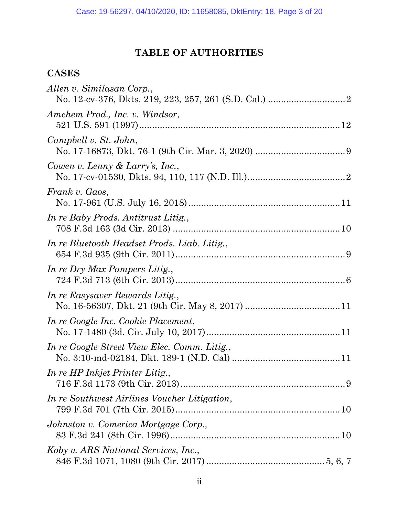# TABLE OF AUTHORITIES

## CASES

| Allen v. Similasan Corp.,                    |
|----------------------------------------------|
| Amchem Prod., Inc. v. Windsor,               |
| Campbell v. St. John,                        |
| Cowen v. Lenny & Larry's, Inc.,              |
| Frank v. Gaos,                               |
| In re Baby Prods. Antitrust Litig.,          |
| In re Bluetooth Headset Prods. Liab. Litig., |
| In re Dry Max Pampers Litig.,                |
| In re Easysaver Rewards Litig.,              |
| In re Google Inc. Cookie Placement,          |
| In re Google Street View Elec. Comm. Litig., |
| In re HP Inkjet Printer Litig.,              |
| In re Southwest Airlines Voucher Litigation, |
| Johnston v. Comerica Mortgage Corp.,         |
| Koby v. ARS National Services, Inc.,         |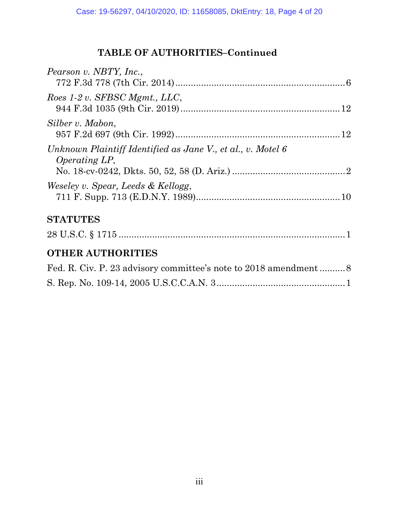# TABLE OF AUTHORITIES–Continued

| Pearson v. NBTY, Inc.,                                                              |
|-------------------------------------------------------------------------------------|
| Roes 1-2 v. SFBSC Mgmt., LLC,                                                       |
| Silber v. Mabon,                                                                    |
| Unknown Plaintiff Identified as Jane V., et al., v. Motel 6<br><i>Operating LP,</i> |
| Weseley v. Spear, Leeds & Kellogg,                                                  |
| <b>STATUTES</b>                                                                     |
|                                                                                     |
| <b>OTHER AUTHORITIES</b>                                                            |
|                                                                                     |
|                                                                                     |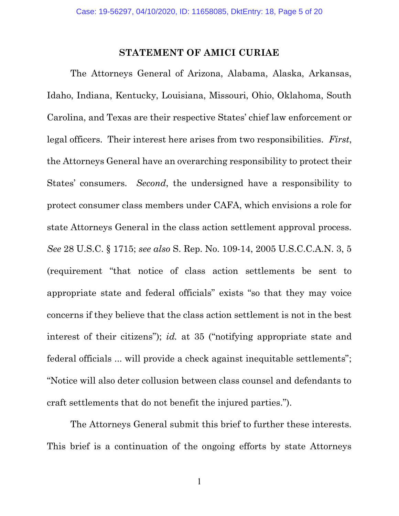#### STATEMENT OF AMICI CURIAE

The Attorneys General of Arizona, Alabama, Alaska, Arkansas, Idaho, Indiana, Kentucky, Louisiana, Missouri, Ohio, Oklahoma, South Carolina, and Texas are their respective States' chief law enforcement or legal officers. Their interest here arises from two responsibilities. First, the Attorneys General have an overarching responsibility to protect their States' consumers. Second, the undersigned have a responsibility to protect consumer class members under CAFA, which envisions a role for state Attorneys General in the class action settlement approval process. See 28 U.S.C. § 1715; see also S. Rep. No. 109-14, 2005 U.S.C.C.A.N. 3, 5 (requirement "that notice of class action settlements be sent to appropriate state and federal officials" exists "so that they may voice concerns if they believe that the class action settlement is not in the best interest of their citizens"); id. at 35 ("notifying appropriate state and federal officials ... will provide a check against inequitable settlements"; "Notice will also deter collusion between class counsel and defendants to craft settlements that do not benefit the injured parties.").

The Attorneys General submit this brief to further these interests. This brief is a continuation of the ongoing efforts by state Attorneys

1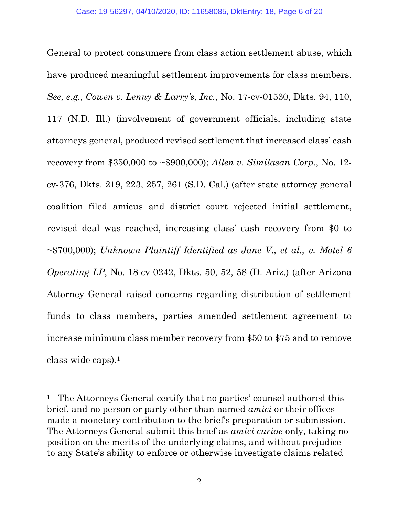General to protect consumers from class action settlement abuse, which have produced meaningful settlement improvements for class members. See, e.g., Cowen v. Lenny & Larry's, Inc., No. 17-cv-01530, Dkts. 94, 110, 117 (N.D. Ill.) (involvement of government officials, including state attorneys general, produced revised settlement that increased class' cash recovery from \$350,000 to  $\sim$ \$900,000); Allen v. Similasan Corp., No. 12cv-376, Dkts. 219, 223, 257, 261 (S.D. Cal.) (after state attorney general coalition filed amicus and district court rejected initial settlement, revised deal was reached, increasing class' cash recovery from \$0 to  $\sim$ \$700,000); Unknown Plaintiff Identified as Jane V, et al., v. Motel 6 Operating LP, No. 18-cv-0242, Dkts. 50, 52, 58 (D. Ariz.) (after Arizona Attorney General raised concerns regarding distribution of settlement funds to class members, parties amended settlement agreement to increase minimum class member recovery from \$50 to \$75 and to remove class-wide caps).<sup>1</sup>

 $\overline{a}$ 

<sup>&</sup>lt;sup>1</sup> The Attorneys General certify that no parties' counsel authored this brief, and no person or party other than named amici or their offices made a monetary contribution to the brief's preparation or submission. The Attorneys General submit this brief as amici curiae only, taking no position on the merits of the underlying claims, and without prejudice to any State's ability to enforce or otherwise investigate claims related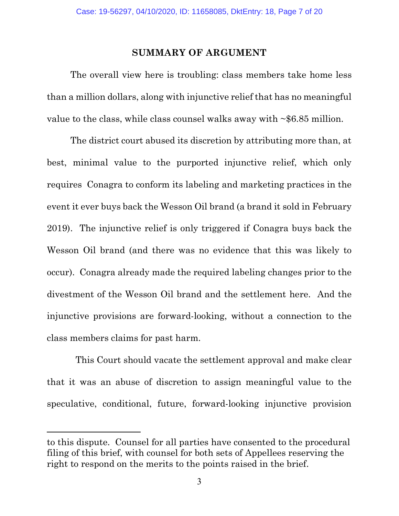#### SUMMARY OF ARGUMENT

The overall view here is troubling: class members take home less than a million dollars, along with injunctive relief that has no meaningful value to the class, while class counsel walks away with  $\sim$  \$6.85 million.

The district court abused its discretion by attributing more than, at best, minimal value to the purported injunctive relief, which only requires Conagra to conform its labeling and marketing practices in the event it ever buys back the Wesson Oil brand (a brand it sold in February 2019). The injunctive relief is only triggered if Conagra buys back the Wesson Oil brand (and there was no evidence that this was likely to occur). Conagra already made the required labeling changes prior to the divestment of the Wesson Oil brand and the settlement here. And the injunctive provisions are forward-looking, without a connection to the class members claims for past harm.

 This Court should vacate the settlement approval and make clear that it was an abuse of discretion to assign meaningful value to the speculative, conditional, future, forward-looking injunctive provision

l

to this dispute. Counsel for all parties have consented to the procedural filing of this brief, with counsel for both sets of Appellees reserving the right to respond on the merits to the points raised in the brief.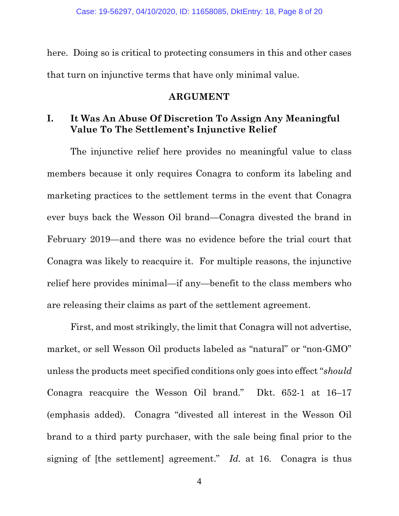here. Doing so is critical to protecting consumers in this and other cases that turn on injunctive terms that have only minimal value.

#### ARGUMENT

## I. It Was An Abuse Of Discretion To Assign Any Meaningful Value To The Settlement's Injunctive Relief

The injunctive relief here provides no meaningful value to class members because it only requires Conagra to conform its labeling and marketing practices to the settlement terms in the event that Conagra ever buys back the Wesson Oil brand—Conagra divested the brand in February 2019—and there was no evidence before the trial court that Conagra was likely to reacquire it. For multiple reasons, the injunctive relief here provides minimal—if any—benefit to the class members who are releasing their claims as part of the settlement agreement.

First, and most strikingly, the limit that Conagra will not advertise, market, or sell Wesson Oil products labeled as "natural" or "non-GMO" unless the products meet specified conditions only goes into effect "should Conagra reacquire the Wesson Oil brand." Dkt. 652-1 at 16–17 (emphasis added). Conagra "divested all interest in the Wesson Oil brand to a third party purchaser, with the sale being final prior to the signing of [the settlement] agreement." Id. at 16. Conagra is thus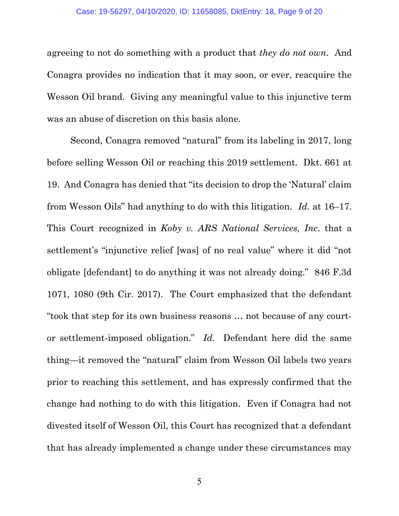agreeing to not do something with a product that they do not own. And Conagra provides no indication that it may soon, or ever, reacquire the Wesson Oil brand. Giving any meaningful value to this injunctive term was an abuse of discretion on this basis alone.

Second, Conagra removed "natural" from its labeling in 2017, long before selling Wesson Oil or reaching this 2019 settlement. Dkt. 661 at 19. And Conagra has denied that "its decision to drop the 'Natural' claim from Wesson Oils" had anything to do with this litigation. Id. at 16–17. This Court recognized in Koby v. ARS National Services, Inc. that a settlement's "injunctive relief [was] of no real value" where it did "not obligate [defendant] to do anything it was not already doing." 846 F.3d 1071, 1080 (9th Cir. 2017). The Court emphasized that the defendant "took that step for its own business reasons … not because of any courtor settlement-imposed obligation." Id. Defendant here did the same thing—it removed the "natural" claim from Wesson Oil labels two years prior to reaching this settlement, and has expressly confirmed that the change had nothing to do with this litigation. Even if Conagra had not divested itself of Wesson Oil, this Court has recognized that a defendant that has already implemented a change under these circumstances may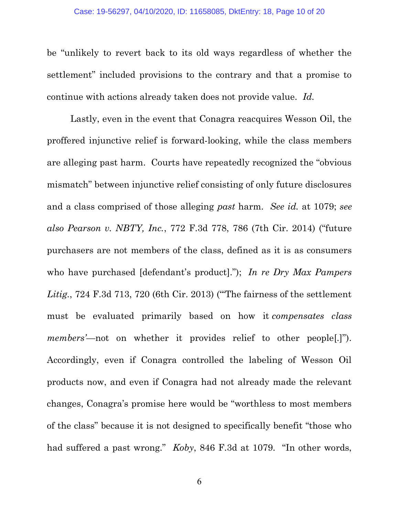be "unlikely to revert back to its old ways regardless of whether the settlement" included provisions to the contrary and that a promise to continue with actions already taken does not provide value. Id.

Lastly, even in the event that Conagra reacquires Wesson Oil, the proffered injunctive relief is forward-looking, while the class members are alleging past harm. Courts have repeatedly recognized the "obvious mismatch" between injunctive relief consisting of only future disclosures and a class comprised of those alleging past harm. See id. at 1079; see also Pearson v. NBTY, Inc., 772 F.3d 778, 786 (7th Cir. 2014) ("future purchasers are not members of the class, defined as it is as consumers who have purchased [defendant's product]."); In re Dry Max Pampers Litig., 724 F.3d 713, 720 (6th Cir. 2013) ("The fairness of the settlement must be evaluated primarily based on how it compensates class members'—not on whether it provides relief to other people[.]"). Accordingly, even if Conagra controlled the labeling of Wesson Oil products now, and even if Conagra had not already made the relevant changes, Conagra's promise here would be "worthless to most members of the class" because it is not designed to specifically benefit "those who had suffered a past wrong." *Koby*, 846 F.3d at 1079. "In other words,

6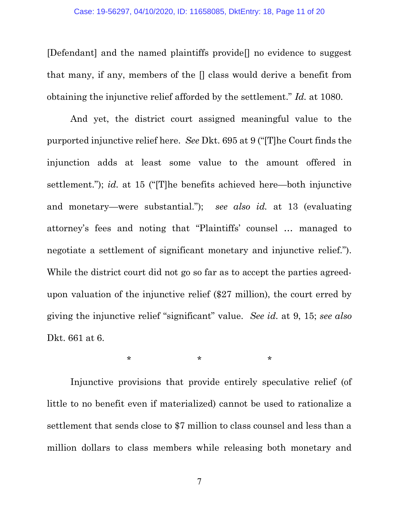[Defendant] and the named plaintiffs provide[] no evidence to suggest that many, if any, members of the [] class would derive a benefit from obtaining the injunctive relief afforded by the settlement." Id. at 1080.

And yet, the district court assigned meaningful value to the purported injunctive relief here. See Dkt. 695 at 9 ("[T]he Court finds the injunction adds at least some value to the amount offered in settlement."); id. at 15 ("[T]he benefits achieved here—both injunctive and monetary—were substantial."); see also id. at 13 (evaluating attorney's fees and noting that "Plaintiffs' counsel … managed to negotiate a settlement of significant monetary and injunctive relief."). While the district court did not go so far as to accept the parties agreedupon valuation of the injunctive relief (\$27 million), the court erred by giving the injunctive relief "significant" value. See id. at 9, 15; see also Dkt. 661 at 6.

 $\star$  \*  $\star$  \*  $\star$ 

Injunctive provisions that provide entirely speculative relief (of little to no benefit even if materialized) cannot be used to rationalize a settlement that sends close to \$7 million to class counsel and less than a million dollars to class members while releasing both monetary and

7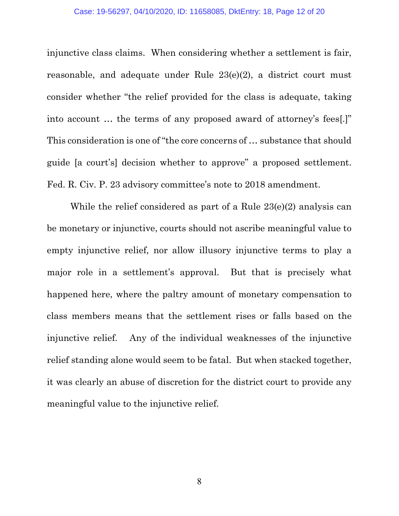injunctive class claims. When considering whether a settlement is fair, reasonable, and adequate under Rule 23(e)(2), a district court must consider whether "the relief provided for the class is adequate, taking into account … the terms of any proposed award of attorney's fees[.]" This consideration is one of "the core concerns of … substance that should guide [a court's] decision whether to approve" a proposed settlement. Fed. R. Civ. P. 23 advisory committee's note to 2018 amendment.

While the relief considered as part of a Rule 23(e)(2) analysis can be monetary or injunctive, courts should not ascribe meaningful value to empty injunctive relief, nor allow illusory injunctive terms to play a major role in a settlement's approval. But that is precisely what happened here, where the paltry amount of monetary compensation to class members means that the settlement rises or falls based on the injunctive relief. Any of the individual weaknesses of the injunctive relief standing alone would seem to be fatal. But when stacked together, it was clearly an abuse of discretion for the district court to provide any meaningful value to the injunctive relief.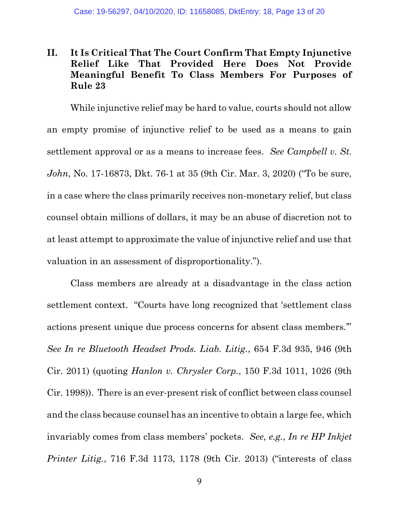## II. It Is Critical That The Court Confirm That Empty Injunctive Relief Like That Provided Here Does Not Provide Meaningful Benefit To Class Members For Purposes of Rule 23

While injunctive relief may be hard to value, courts should not allow an empty promise of injunctive relief to be used as a means to gain settlement approval or as a means to increase fees. See Campbell v. St. John, No. 17-16873, Dkt. 76-1 at 35 (9th Cir. Mar. 3, 2020) ("To be sure, in a case where the class primarily receives non-monetary relief, but class counsel obtain millions of dollars, it may be an abuse of discretion not to at least attempt to approximate the value of injunctive relief and use that valuation in an assessment of disproportionality.").

Class members are already at a disadvantage in the class action settlement context. "Courts have long recognized that 'settlement class actions present unique due process concerns for absent class members.'" See In re Bluetooth Headset Prods. Liab. Litig., 654 F.3d 935, 946 (9th Cir. 2011) (quoting Hanlon v. Chrysler Corp., 150 F.3d 1011, 1026 (9th Cir. 1998)). There is an ever-present risk of conflict between class counsel and the class because counsel has an incentive to obtain a large fee, which invariably comes from class members' pockets. See, e.g., In re HP Inkjet Printer Litig., 716 F.3d 1173, 1178 (9th Cir. 2013) ("interests of class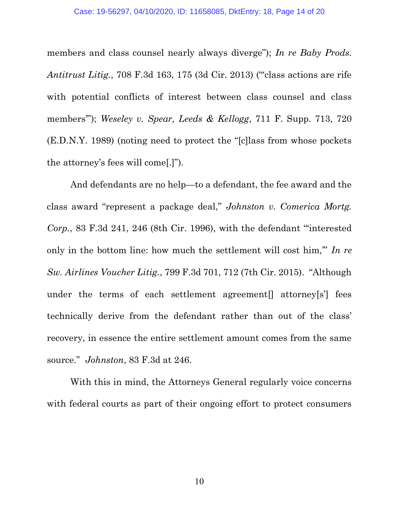members and class counsel nearly always diverge"); In re Baby Prods. Antitrust Litig., 708 F.3d 163, 175 (3d Cir. 2013) ("class actions are rife with potential conflicts of interest between class counsel and class members"); Weseley v. Spear, Leeds & Kellogg, 711 F. Supp. 713, 720 (E.D.N.Y. 1989) (noting need to protect the "[c]lass from whose pockets the attorney's fees will come[.]").

And defendants are no help—to a defendant, the fee award and the class award "represent a package deal," Johnston v. Comerica Mortg. Corp., 83 F.3d 241, 246 (8th Cir. 1996), with the defendant "'interested only in the bottom line: how much the settlement will cost him," In re Sw. Airlines Voucher Litig., 799 F.3d 701, 712 (7th Cir. 2015). "Although under the terms of each settlement agreement<sup>[]</sup> attorney<sup>[s']</sup> fees technically derive from the defendant rather than out of the class' recovery, in essence the entire settlement amount comes from the same source." Johnston, 83 F.3d at 246.

With this in mind, the Attorneys General regularly voice concerns with federal courts as part of their ongoing effort to protect consumers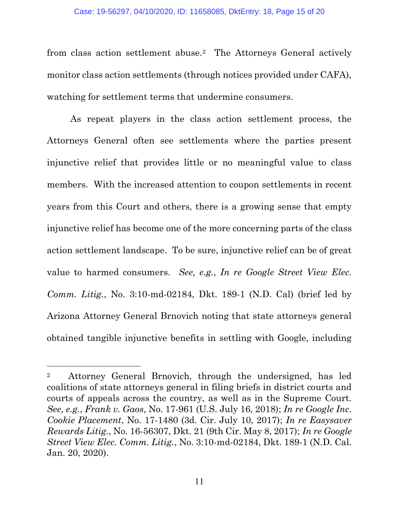from class action settlement abuse.2 The Attorneys General actively monitor class action settlements (through notices provided under CAFA), watching for settlement terms that undermine consumers.

As repeat players in the class action settlement process, the Attorneys General often see settlements where the parties present injunctive relief that provides little or no meaningful value to class members. With the increased attention to coupon settlements in recent years from this Court and others, there is a growing sense that empty injunctive relief has become one of the more concerning parts of the class action settlement landscape. To be sure, injunctive relief can be of great value to harmed consumers. See, e.g., In re Google Street View Elec. Comm. Litig., No.  $3:10$ -md-02184, Dkt. 189-1 (N.D. Cal) (brief led by Arizona Attorney General Brnovich noting that state attorneys general obtained tangible injunctive benefits in settling with Google, including

 $\overline{a}$ 

<sup>2</sup> Attorney General Brnovich, through the undersigned, has led coalitions of state attorneys general in filing briefs in district courts and courts of appeals across the country, as well as in the Supreme Court. See, e.g., Frank v. Gaos, No. 17-961 (U.S. July 16, 2018); In re Google Inc. Cookie Placement, No. 17-1480 (3d. Cir. July 10, 2017); In re Easysaver Rewards Litig., No. 16-56307, Dkt. 21 (9th Cir. May 8, 2017); In re Google Street View Elec. Comm. Litig., No. 3:10-md-02184, Dkt. 189-1 (N.D. Cal. Jan. 20, 2020).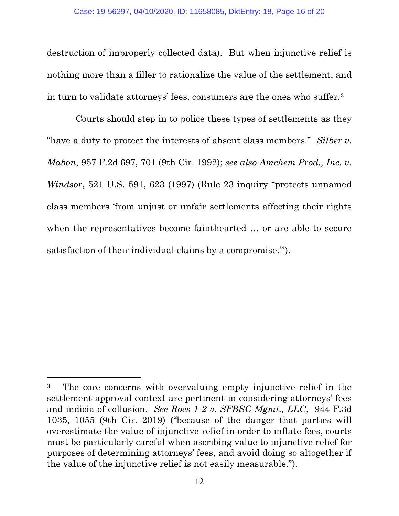destruction of improperly collected data). But when injunctive relief is nothing more than a filler to rationalize the value of the settlement, and in turn to validate attorneys' fees, consumers are the ones who suffer.<sup>3</sup>

 Courts should step in to police these types of settlements as they "have a duty to protect the interests of absent class members." Silber v. Mabon, 957 F.2d 697, 701 (9th Cir. 1992); see also Amchem Prod., Inc. v. Windsor, 521 U.S. 591, 623 (1997) (Rule 23 inquiry "protects unnamed class members 'from unjust or unfair settlements affecting their rights when the representatives become fainthearted … or are able to secure satisfaction of their individual claims by a compromise.'").

 $\overline{a}$ 

<sup>3</sup> The core concerns with overvaluing empty injunctive relief in the settlement approval context are pertinent in considering attorneys' fees and indicia of collusion. See Roes 1-2 v. SFBSC Mgmt., LLC, 944 F.3d 1035, 1055 (9th Cir. 2019) ("because of the danger that parties will overestimate the value of injunctive relief in order to inflate fees, courts must be particularly careful when ascribing value to injunctive relief for purposes of determining attorneys' fees, and avoid doing so altogether if the value of the injunctive relief is not easily measurable.").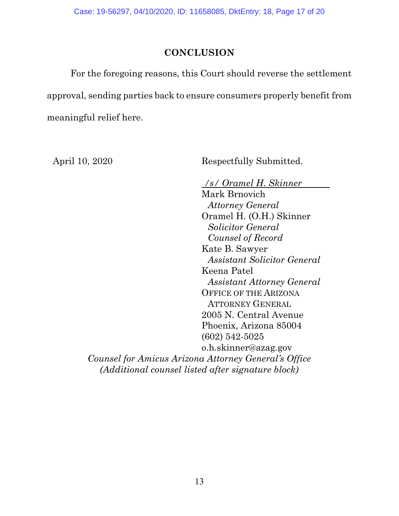## **CONCLUSION**

For the foregoing reasons, this Court should reverse the settlement approval, sending parties back to ensure consumers properly benefit from meaningful relief here.

April 10, 2020 Respectfully Submitted.

/s/ Oramel H. Skinner . Mark Brnovich Attorney General Oramel H. (O.H.) Skinner Solicitor General Counsel of Record Kate B. Sawyer Assistant Solicitor General Keena Patel Assistant Attorney General OFFICE OF THE ARIZONA ATTORNEY GENERAL 2005 N. Central Avenue Phoenix, Arizona 85004 (602) 542-5025 o.h.skinner@azag.gov Counsel for Amicus Arizona Attorney General's Office (Additional counsel listed after signature block)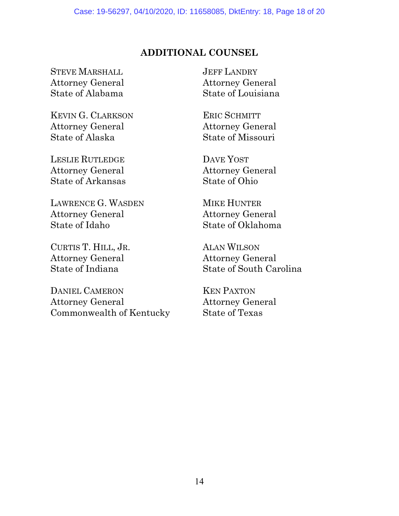## ADDITIONAL COUNSEL

STEVE MARSHALL Attorney General State of Alabama

KEVIN G. CLARKSON Attorney General State of Alaska

LESLIE RUTLEDGE Attorney General State of Arkansas

LAWRENCE G. WASDEN Attorney General State of Idaho

CURTIS T. HILL, JR. Attorney General State of Indiana

DANIEL CAMERON Attorney General Commonwealth of Kentucky JEFF LANDRY Attorney General State of Louisiana

ERIC SCHMITT Attorney General State of Missouri

DAVE YOST Attorney General State of Ohio

MIKE HUNTER Attorney General State of Oklahoma

ALAN WILSON Attorney General State of South Carolina

KEN PAXTON Attorney General State of Texas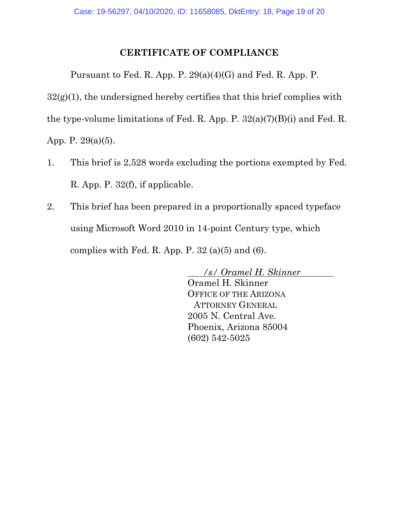## CERTIFICATE OF COMPLIANCE

Pursuant to Fed. R. App. P. 29(a)(4)(G) and Fed. R. App. P.

 $32(g)(1)$ , the undersigned hereby certifies that this brief complies with

the type-volume limitations of Fed. R. App. P. 32(a)(7)(B)(i) and Fed. R.

App. P. 29(a)(5).

- 1. This brief is 2,528 words excluding the portions exempted by Fed. R. App. P. 32(f), if applicable.
- 2. This brief has been prepared in a proportionally spaced typeface using Microsoft Word 2010 in 14-point Century type, which complies with Fed. R. App. P.  $32$  (a)(5) and (6).

/s/ Oramel H. Skinner .

Oramel H. Skinner OFFICE OF THE ARIZONA ATTORNEY GENERAL 2005 N. Central Ave. Phoenix, Arizona 85004 (602) 542-5025